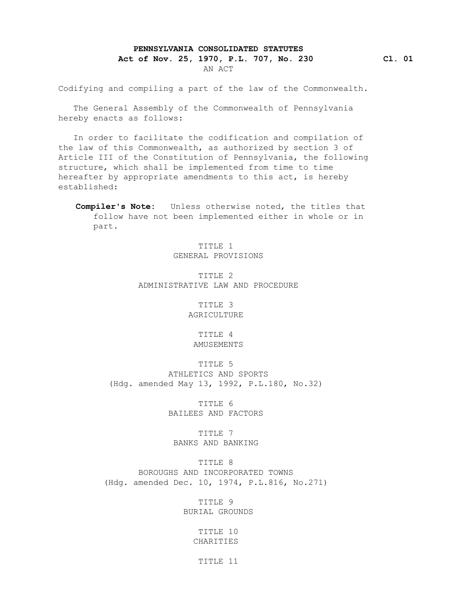## **PENNSYLVANIA CONSOLIDATED STATUTES**

## **Act of Nov. 25, 1970, P.L. 707, No. 230 Cl. 01** AN ACT

Codifying and compiling a part of the law of the Commonwealth.

 The General Assembly of the Commonwealth of Pennsylvania hereby enacts as follows:

 In order to facilitate the codification and compilation of the law of this Commonwealth, as authorized by section 3 of Article III of the Constitution of Pennsylvania, the following structure, which shall be implemented from time to time hereafter by appropriate amendments to this act, is hereby established:

 **Compiler's Note:** Unless otherwise noted, the titles that follow have not been implemented either in whole or in part.

> TITLE 1 GENERAL PROVISIONS

 TITLE 2 ADMINISTRATIVE LAW AND PROCEDURE

> TITLE 3 AGRICULTURE

 TITLE 4 AMUSEMENTS

 TITLE 5 ATHLETICS AND SPORTS (Hdg. amended May 13, 1992, P.L.180, No.32)

> TITLE 6 BAILEES AND FACTORS

 TITLE 7 BANKS AND BANKING

 TITLE 8 BOROUGHS AND INCORPORATED TOWNS (Hdg. amended Dec. 10, 1974, P.L.816, No.271)

> TITLE 9 BURIAL GROUNDS

> > TITLE 10 CHARITIES

> > > TITLE 11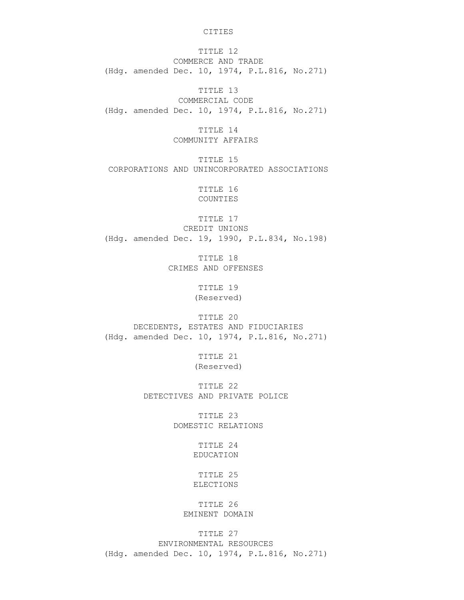CITIES

 TITLE 12 COMMERCE AND TRADE (Hdg. amended Dec. 10, 1974, P.L.816, No.271)

 TITLE 13 COMMERCIAL CODE (Hdg. amended Dec. 10, 1974, P.L.816, No.271)

> TITLE 14 COMMUNITY AFFAIRS

 TITLE 15 CORPORATIONS AND UNINCORPORATED ASSOCIATIONS

> TITLE 16 COUNTIES

 TITLE 17 CREDIT UNIONS (Hdg. amended Dec. 19, 1990, P.L.834, No.198)

> TITLE 18 CRIMES AND OFFENSES

> > TITLE 19 (Reserved)

 TITLE 20 DECEDENTS, ESTATES AND FIDUCIARIES (Hdg. amended Dec. 10, 1974, P.L.816, No.271)

> TITLE 21 (Reserved)

 TITLE 22 DETECTIVES AND PRIVATE POLICE

> TITLE 23 DOMESTIC RELATIONS

> > TITLE 24 EDUCATION

 TITLE 25 ELECTIONS

 TITLE 26 EMINENT DOMAIN

TITLE 27

 ENVIRONMENTAL RESOURCES (Hdg. amended Dec. 10, 1974, P.L.816, No.271)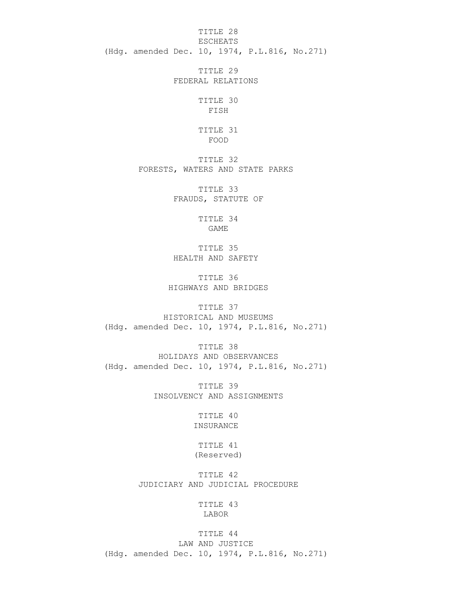TITLE 28 ESCHEATS (Hdg. amended Dec. 10, 1974, P.L.816, No.271)

> TITLE 29 FEDERAL RELATIONS

 TITLE 30 FISH

 TITLE 31 FOOD

> TITLE 32 FORESTS, WATERS AND STATE PARKS

> > TITLE 33 FRAUDS, STATUTE OF

> > > TITLE 34 GAME

 TITLE 35 HEALTH AND SAFETY

 TITLE 36 HIGHWAYS AND BRIDGES

TITLE 37

 HISTORICAL AND MUSEUMS (Hdg. amended Dec. 10, 1974, P.L.816, No.271)

 TITLE 38 HOLIDAYS AND OBSERVANCES (Hdg. amended Dec. 10, 1974, P.L.816, No.271)

> TITLE 39 INSOLVENCY AND ASSIGNMENTS

> > TITLE 40 INSURANCE

 TITLE 41 (Reserved)

 TITLE 42 JUDICIARY AND JUDICIAL PROCEDURE

> TITLE 43 LABOR

TITLE 44

 LAW AND JUSTICE (Hdg. amended Dec. 10, 1974, P.L.816, No.271)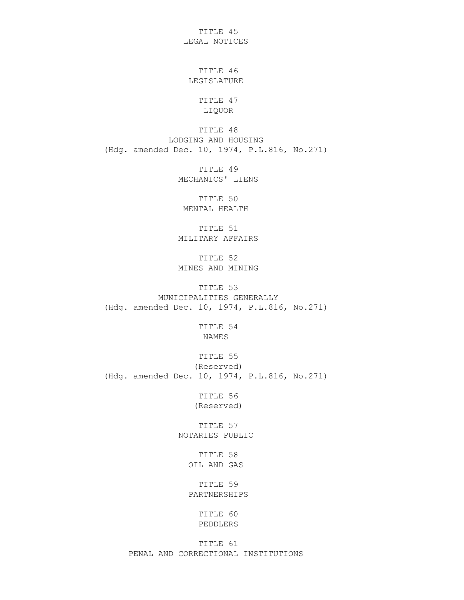TITLE 45 LEGAL NOTICES

 TITLE 46 LEGISLATURE

> TITLE 47 LIQUOR

 TITLE 48 LODGING AND HOUSING (Hdg. amended Dec. 10, 1974, P.L.816, No.271)

> TITLE 49 MECHANICS' LIENS

 TITLE 50 MENTAL HEALTH

 TITLE 51 MILITARY AFFAIRS

 TITLE 52 MINES AND MINING

 TITLE 53 MUNICIPALITIES GENERALLY (Hdg. amended Dec. 10, 1974, P.L.816, No.271)

> TITLE 54 NAMES

 TITLE 55 (Reserved) (Hdg. amended Dec. 10, 1974, P.L.816, No.271)

> TITLE 56 (Reserved)

 TITLE 57 NOTARIES PUBLIC

> TITLE 58 OIL AND GAS

 TITLE 59 PARTNERSHIPS

> TITLE 60 PEDDLERS

 TITLE 61 PENAL AND CORRECTIONAL INSTITUTIONS